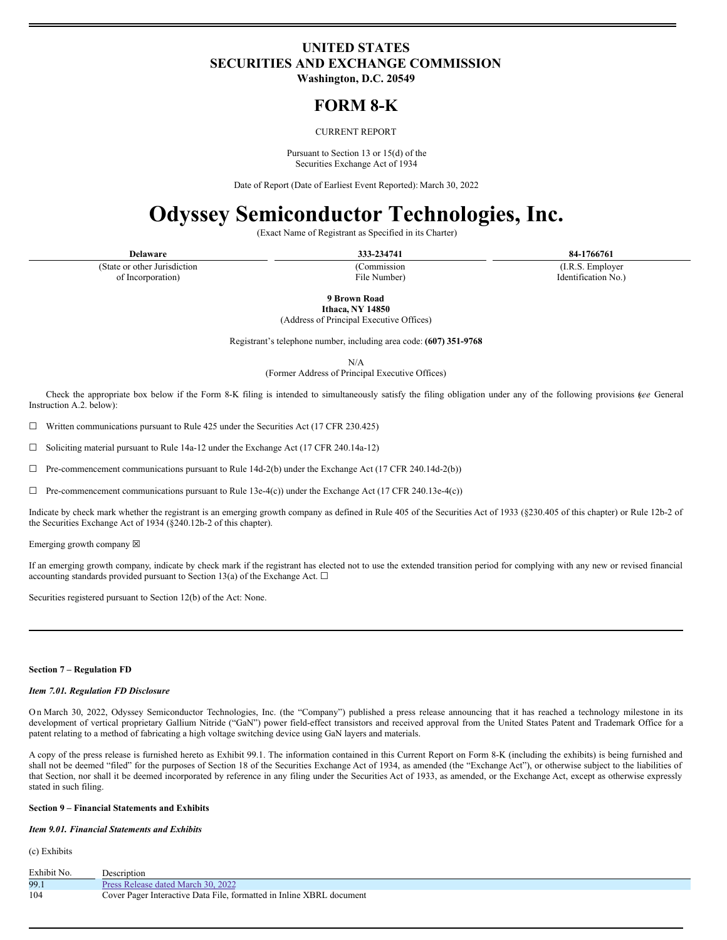### **UNITED STATES SECURITIES AND EXCHANGE COMMISSION**

**Washington, D.C. 20549**

## **FORM 8-K**

#### CURRENT REPORT

Pursuant to Section 13 or 15(d) of the Securities Exchange Act of 1934

Date of Report (Date of Earliest Event Reported): March 30, 2022

# **Odyssey Semiconductor Technologies, Inc.**

(Exact Name of Registrant as Specified in its Charter)

**Delaware 333-234741 84-1766761**

(State or other Jurisdiction of Incorporation)

(Commission File Number)

(I.R.S. Employer Identification No.)

**9 Brown Road Ithaca, NY 14850**

(Address of Principal Executive Offices)

Registrant's telephone number, including area code: **(607) 351-9768**

N/A

(Former Address of Principal Executive Offices)

Check the appropriate box below if the Form 8-K filing is intended to simultaneously satisfy the filing obligation under any of the following provisions (*see* General Instruction A.2. below):

 $\Box$  Written communications pursuant to Rule 425 under the Securities Act (17 CFR 230.425)

 $\Box$  Soliciting material pursuant to Rule 14a-12 under the Exchange Act (17 CFR 240.14a-12)

 $\Box$  Pre-commencement communications pursuant to Rule 14d-2(b) under the Exchange Act (17 CFR 240.14d-2(b))

 $\Box$  Pre-commencement communications pursuant to Rule 13e-4(c)) under the Exchange Act (17 CFR 240.13e-4(c))

Indicate by check mark whether the registrant is an emerging growth company as defined in Rule 405 of the Securities Act of 1933 (§230.405 of this chapter) or Rule 12b-2 of the Securities Exchange Act of 1934 (§240.12b-2 of this chapter).

Emerging growth company  $\boxtimes$ 

If an emerging growth company, indicate by check mark if the registrant has elected not to use the extended transition period for complying with any new or revised financial accounting standards provided pursuant to Section 13(a) of the Exchange Act.  $\Box$ 

Securities registered pursuant to Section 12(b) of the Act: None.

#### **Section 7 – Regulation FD**

#### *Item 7.01. Regulation FD Disclosure*

O n March 30, 2022, Odyssey Semiconductor Technologies, Inc. (the "Company") published a press release announcing that it has reached a technology milestone in its development of vertical proprietary Gallium Nitride ("GaN") power field-effect transistors and received approval from the United States Patent and Trademark Office for a patent relating to a method of fabricating a high voltage switching device using GaN layers and materials.

A copy of the press release is furnished hereto as Exhibit 99.1. The information contained in this Current Report on Form 8-K (including the exhibits) is being furnished and shall not be deemed "filed" for the purposes of Section 18 of the Securities Exchange Act of 1934, as amended (the "Exchange Act"), or otherwise subject to the liabilities of that Section, nor shall it be deemed incorporated by reference in any filing under the Securities Act of 1933, as amended, or the Exchange Act, except as otherwise expressly stated in such filing.

#### **Section 9 – Financial Statements and Exhibits**

#### *Item 9.01. Financial Statements and Exhibits*

(c) Exhibits

| Exhibit No. | Description                                                          |
|-------------|----------------------------------------------------------------------|
| 99.1        | Press Release dated March 30, 2022                                   |
| 104         | Cover Pager Interactive Data File, formatted in Inline XBRL document |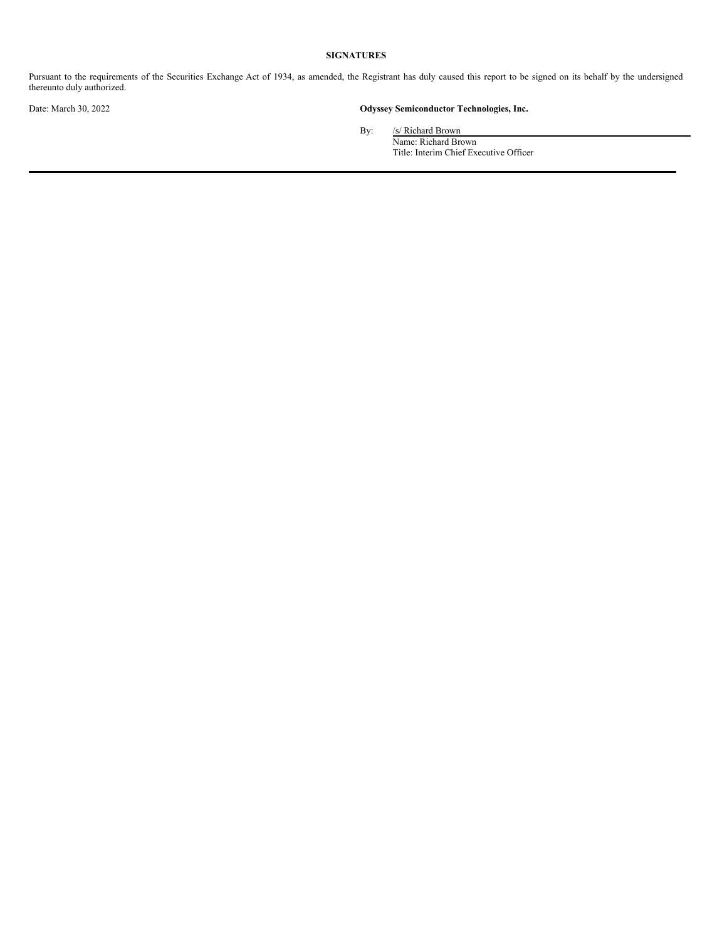#### **SIGNATURES**

Pursuant to the requirements of the Securities Exchange Act of 1934, as amended, the Registrant has duly caused this report to be signed on its behalf by the undersigned thereunto duly authorized.

#### Date: March 30, 2022 **Odyssey Semiconductor Technologies, Inc.**

By: /s/ Richard Brown

Name: Richard Brown Title: Interim Chief Executive Officer